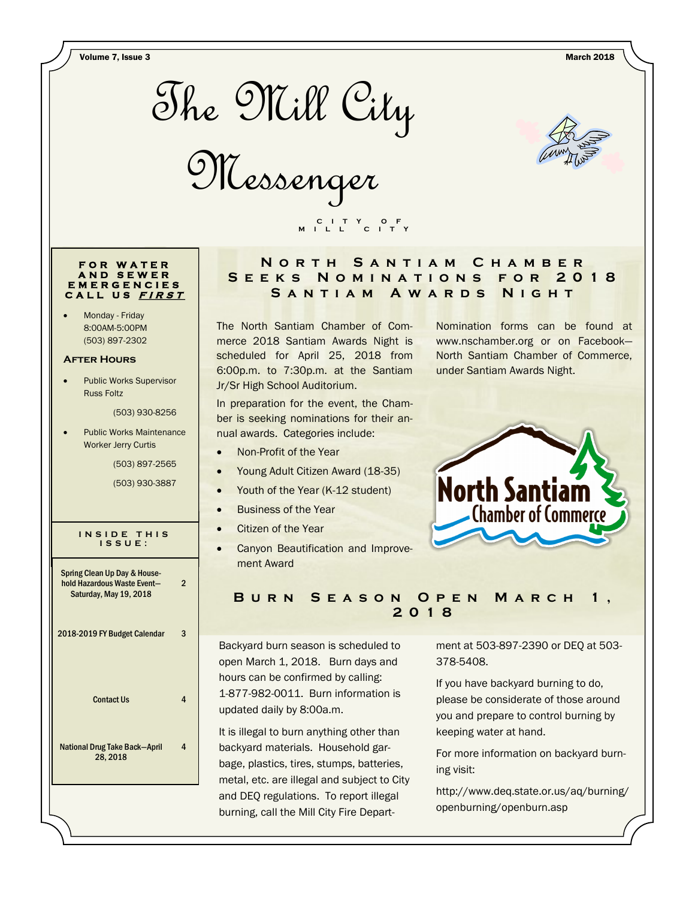Volume 7, Issue 3 March 2018



Messenger



#### **F O R W A T E R A N D S E W E R E M E R G E N C I E S C A L L U S <sup>F</sup> <sup>I</sup> <sup>R</sup> <sup>S</sup> <sup>T</sup>**

 Monday - Friday 8:00AM-5:00PM (503) 897-2302

#### **After Hours**

 Public Works Supervisor Russ Foltz

(503) 930-8256

 Public Works Maintenance Worker Jerry Curtis

(503) 897-2565

(503) 930-3887

 $\mathfrak{p}$ 

4

#### **I N S I D E T H I S I S S U E :**

Spring Clean Up Day & Household Hazardous Waste Event— Saturday, May 19, 2018

### 2018-2019 FY Budget Calendar 3

Contact Us 4

National Drug Take Back—April 28, 2018

## **N o r t h S a n t i a m C h a m b e r S e e k s N o m i n a t i o n s f o r 2 0 1 8**  SANTIAM AWARDS NIGHT

The North Santiam Chamber of Commerce 2018 Santiam Awards Night is scheduled for April 25, 2018 from 6:00p.m. to 7:30p.m. at the Santiam Jr/Sr High School Auditorium.

 **C I T Y O F M I L L C I T Y**

In preparation for the event, the Chamber is seeking nominations for their annual awards. Categories include:

- Non-Profit of the Year
- Young Adult Citizen Award (18-35)
- Youth of the Year (K-12 student)
- **•** Business of the Year
- Citizen of the Year
- **•** Canyon Beautification and Improvement Award

Nomination forms can be found at www.nschamber.org or on Facebook— North Santiam Chamber of Commerce, under Santiam Awards Night.



# **B u r n S e a s o n O p e n M a r c h 1 , 2018**

Backyard burn season is scheduled to open March 1, 2018. Burn days and hours can be confirmed by calling: 1-877-982-0011. Burn information is updated daily by 8:00a.m.

It is illegal to burn anything other than backyard materials. Household garbage, plastics, tires, stumps, batteries, metal, etc. are illegal and subject to City and DEQ regulations. To report illegal burning, call the Mill City Fire Department at 503-897-2390 or DEQ at 503- 378-5408.

If you have backyard burning to do, please be considerate of those around you and prepare to control burning by keeping water at hand.

For more information on backyard burning visit:

http://www.deq.state.or.us/aq/burning/ openburning/openburn.asp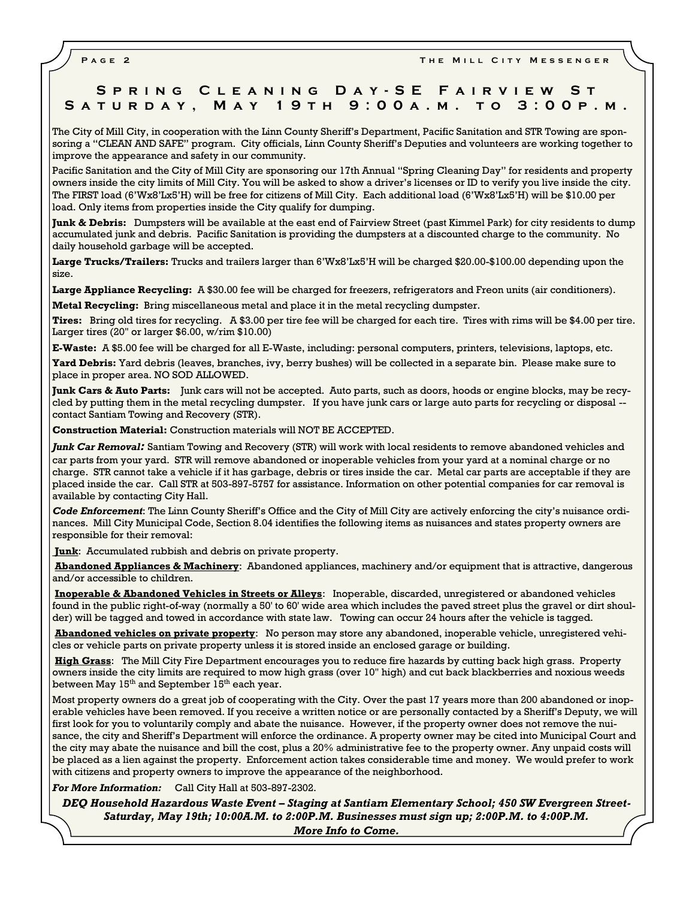**PAGE 2 THE MILL CITY MESSENGER** 

# **S p r i n g C l e a n i n g D a y - S E F a i r v i e w S t S a t u r d a y , M a y 1 9 t h 9 : 0 0 a . m . t o 3 : 0 0 p . m .**

The City of Mill City, in cooperation with the Linn County Sheriff's Department, Pacific Sanitation and STR Towing are sponsoring a "CLEAN AND SAFE" program. City officials, Linn County Sheriff's Deputies and volunteers are working together to improve the appearance and safety in our community.

Pacific Sanitation and the City of Mill City are sponsoring our 17th Annual "Spring Cleaning Day" for residents and property owners inside the city limits of Mill City. You will be asked to show a driver's licenses or ID to verify you live inside the city. The FIRST load (6'Wx8'Lx5'H) will be free for citizens of Mill City. Each additional load (6'Wx8'Lx5'H) will be \$10.00 per load. Only items from properties inside the City qualify for dumping.

**Junk & Debris:** Dumpsters will be available at the east end of Fairview Street (past Kimmel Park) for city residents to dump accumulated junk and debris. Pacific Sanitation is providing the dumpsters at a discounted charge to the community. No daily household garbage will be accepted.

**Large Trucks/Trailers:** Trucks and trailers larger than 6'Wx8'Lx5'H will be charged \$20.00-\$100.00 depending upon the size.

**Large Appliance Recycling:** A \$30.00 fee will be charged for freezers, refrigerators and Freon units (air conditioners).

**Metal Recycling:** Bring miscellaneous metal and place it in the metal recycling dumpster.

**Tires:** Bring old tires for recycling. A \$3.00 per tire fee will be charged for each tire. Tires with rims will be \$4.00 per tire. Larger tires (20" or larger \$6.00, w/rim \$10.00)

**E-Waste:** A \$5.00 fee will be charged for all E-Waste, including: personal computers, printers, televisions, laptops, etc.

**Yard Debris:** Yard debris (leaves, branches, ivy, berry bushes) will be collected in a separate bin. Please make sure to place in proper area. NO SOD ALLOWED.

**Junk Cars & Auto Parts:** Junk cars will not be accepted. Auto parts, such as doors, hoods or engine blocks, may be recycled by putting them in the metal recycling dumpster. If you have junk cars or large auto parts for recycling or disposal - contact Santiam Towing and Recovery (STR).

**Construction Material:** Construction materials will NOT BE ACCEPTED.

*Junk Car Removal:* Santiam Towing and Recovery (STR) will work with local residents to remove abandoned vehicles and car parts from your yard. STR will remove abandoned or inoperable vehicles from your yard at a nominal charge or no charge. STR cannot take a vehicle if it has garbage, debris or tires inside the car. Metal car parts are acceptable if they are placed inside the car. Call STR at 503-897-5757 for assistance. Information on other potential companies for car removal is available by contacting City Hall.

*Code Enforcement*: The Linn County Sheriff's Office and the City of Mill City are actively enforcing the city's nuisance ordinances. Mill City Municipal Code, Section 8.04 identifies the following items as nuisances and states property owners are responsible for their removal:

**Junk**: Accumulated rubbish and debris on private property.

**Abandoned Appliances & Machinery**: Abandoned appliances, machinery and/or equipment that is attractive, dangerous and/or accessible to children.

**Inoperable & Abandoned Vehicles in Streets or Alleys**: Inoperable, discarded, unregistered or abandoned vehicles found in the public right-of-way (normally a 50' to 60' wide area which includes the paved street plus the gravel or dirt shoulder) will be tagged and towed in accordance with state law. Towing can occur 24 hours after the vehicle is tagged.

**Abandoned vehicles on private property**: No person may store any abandoned, inoperable vehicle, unregistered vehicles or vehicle parts on private property unless it is stored inside an enclosed garage or building.

**High Grass**: The Mill City Fire Department encourages you to reduce fire hazards by cutting back high grass. Property owners inside the city limits are required to mow high grass (over 10" high) and cut back blackberries and noxious weeds between May  $15^{th}$  and September  $15^{th}$  each year.

Most property owners do a great job of cooperating with the City. Over the past 17 years more than 200 abandoned or inoperable vehicles have been removed. If you receive a written notice or are personally contacted by a Sheriff's Deputy, we will first look for you to voluntarily comply and abate the nuisance. However, if the property owner does not remove the nuisance, the city and Sheriff's Department will enforce the ordinance. A property owner may be cited into Municipal Court and the city may abate the nuisance and bill the cost, plus a 20% administrative fee to the property owner. Any unpaid costs will be placed as a lien against the property. Enforcement action takes considerable time and money. We would prefer to work with citizens and property owners to improve the appearance of the neighborhood.

*For More Information:* Call City Hall at 503-897-2302.

*DEQ Household Hazardous Waste Event – Staging at Santiam Elementary School; 450 SW Evergreen Street-Saturday, May 19th; 10:00A.M. to 2:00P.M. Businesses must sign up; 2:00P.M. to 4:00P.M. More Info to Come.*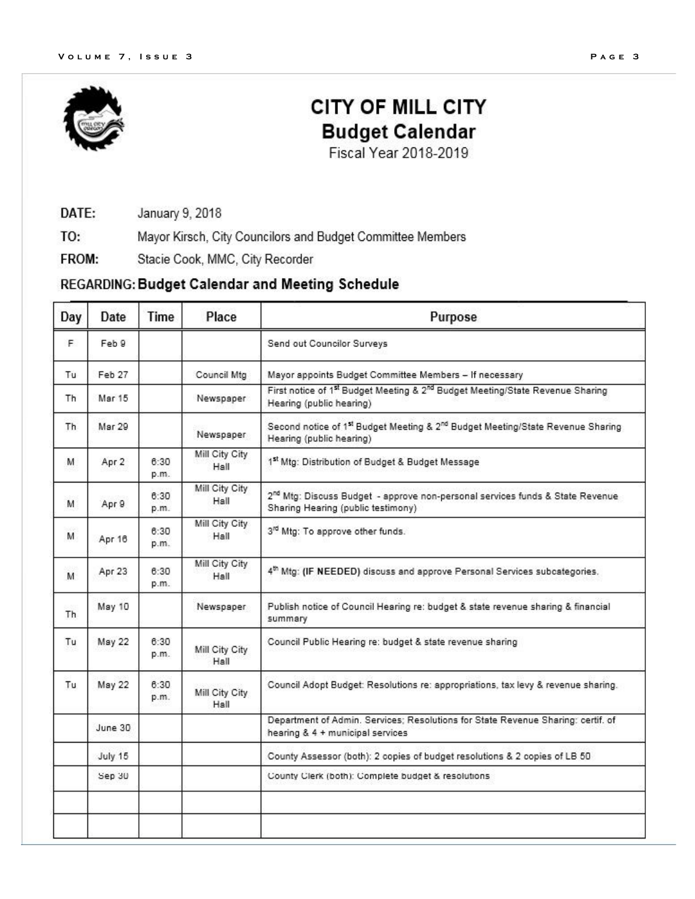

# **CITY OF MILL CITY Budget Calendar**

Fiscal Year 2018-2019

January 9, 2018 DATE:

TO: Mayor Kirsch, City Councilors and Budget Committee Members

Stacie Cook, MMC, City Recorder FROM:

# REGARDING: Budget Calendar and Meeting Schedule

| Day | Date    | Time         | Place                  | Purpose                                                                                                                            |
|-----|---------|--------------|------------------------|------------------------------------------------------------------------------------------------------------------------------------|
| F.  | Feb 9   |              |                        | Send out Councilor Surveys                                                                                                         |
| Tu  | Feb 27  |              | Council Mtg            | Mayor appoints Budget Committee Members - If necessary                                                                             |
| Th  | Mar 15  |              | Newspaper              | First notice of 1st Budget Meeting & 2 <sup>nd</sup> Budget Meeting/State Revenue Sharing<br>Hearing (public hearing)              |
| Th. | Mar 29  |              | Newspaper              | Second notice of 1 <sup>st</sup> Budget Meeting & 2 <sup>nd</sup> Budget Meeting/State Revenue Sharing<br>Hearing (public hearing) |
| м   | Apr 2   | 6:30<br>p.m. | Mill City City<br>Hall | 1st Mtg: Distribution of Budget & Budget Message                                                                                   |
| M   | Apr 9   | 8:30<br>p.m. | Mill City City<br>Hall | 2 <sup>nd</sup> Mtg: Discuss Budget - approve non-personal services funds & State Revenue<br>Sharing Hearing (public testimony)    |
| M   | Apr 16  | 6:30<br>p.m. | Mill City City<br>Hall | 3rd Mtg: To approve other funds.                                                                                                   |
| M   | Apr 23  | 6:30<br>p.m. | Mill City City<br>Hall | 4 <sup>th</sup> Mtg: (IF NEEDED) discuss and approve Personal Services subcategories.                                              |
| Th. | May 10  |              | Newspaper              | Publish notice of Council Hearing re: budget & state revenue sharing & financial<br>summary                                        |
| Tu  | May 22  | 6:30<br>p.m. | Mill City City<br>Hall | Council Public Hearing re: budget & state revenue sharing                                                                          |
| Tu  | May 22  | 8:30<br>p.m. | Mill City City<br>Hall | Council Adopt Budget: Resolutions re: appropriations, tax levy & revenue sharing.                                                  |
|     | June 30 |              |                        | Department of Admin. Services; Resolutions for State Revenue Sharing: certif. of<br>hearing & 4 + municipal services               |
|     | July 15 |              |                        | County Assessor (both): 2 copies of budget resolutions & 2 copies of LB 50                                                         |
|     | Sep 30  |              |                        | County Clerk (both): Complete budget & resolutions                                                                                 |
|     |         |              |                        |                                                                                                                                    |
|     |         |              |                        |                                                                                                                                    |